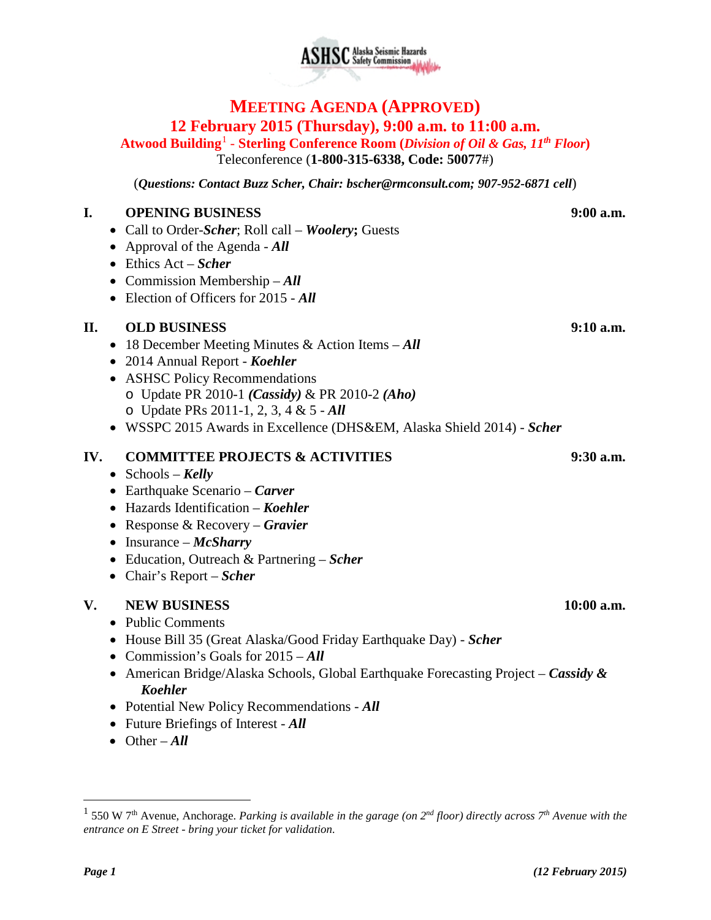# **SC** Alaska Seismic Hazards

# **MEETING AGENDA (APPROVED) 12 February 2015 (Thursday), 9:00 a.m. to 11:00 a.m.**

**Atwood Building**[1](#page-0-0) - **Sterling Conference Room (***Division of Oil & Gas, 11th Floor***)** Teleconference (**1-800-315-6338, Code: 50077**#)

(*Questions: Contact Buzz Scher, Chair: [bscher@rmconsult.com;](mailto:bscher@rmconsult.com) 907-952-6871 cell*)

# **I. OPENING BUSINESS 9:00 a.m.**

- Call to Order-*Scher*; Roll call *Woolery***;** Guests
- Approval of the Agenda *All*
- Ethics Act *Scher*
- Commission Membership *All*
- Election of Officers for 2015 *All*

## **II. OLD BUSINESS 9:10 a.m.**

- 18 December Meeting Minutes & Action Items *All*
- 2014 Annual Report *Koehler*
- ASHSC Policy Recommendations o Update PR 2010-1 *(Cassidy)* & PR 2010-2 *(Aho)* o Update PRs 2011-1, 2, 3, 4 & 5 - *All*
- WSSPC 2015 Awards in Excellence (DHS&EM, Alaska Shield 2014) *Scher*

# **IV. COMMITTEE PROJECTS & ACTIVITIES 9:30 a.m.**

- Schools *Kelly*
- Earthquake Scenario *Carver*
- Hazards Identification *Koehler*
- Response & Recovery *Gravier*
- Insurance *McSharry*
- Education, Outreach & Partnering *Scher*
- Chair's Report *Scher*

# **V. NEW BUSINESS 10:00 a.m.**

- Public Comments
- House Bill 35 (Great Alaska/Good Friday Earthquake Day) *Scher*
- Commission's Goals for 2015 *All*
- American Bridge/Alaska Schools, Global Earthquake Forecasting Project *Cassidy & Koehler*
- Potential New Policy Recommendations *All*
- Future Briefings of Interest *All*
- Other *All*

 $\overline{a}$ 

<span id="page-0-0"></span><sup>1</sup> 550 W 7th Avenue, Anchorage. *Parking is available in the garage (on 2nd floor) directly across 7th Avenue with the entrance on E Street - bring your ticket for validation.*